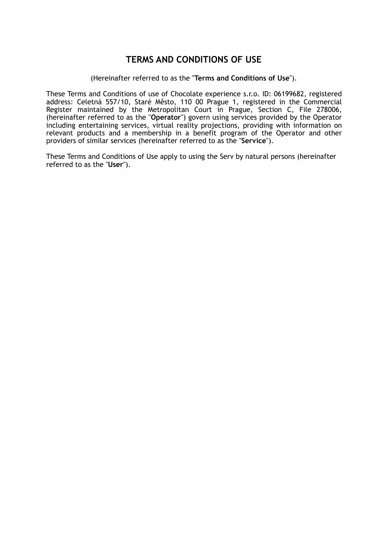# **TERMS AND CONDITIONS OF USE**

#### (Hereinafter referred to as the "**Terms and Conditions of Use**").

These Terms and Conditions of use of Chocolate experience s.r.o. ID: 06199682, registered address: Celetná 557/10, Staré Město, 110 00 Prague 1, registered in the Commercial Register maintained by the Metropolitan Court in Prague, Section C, File 278006, (hereinafter referred to as the "**Operator**") govern using services provided by the Operator including entertaining services, virtual reality projections, providing with information on relevant products and a membership in a benefit program of the Operator and other providers of similar services (hereinafter referred to as the "**Service**").

These Terms and Conditions of Use apply to using the Serv by natural persons (hereinafter referred to as the "**User**").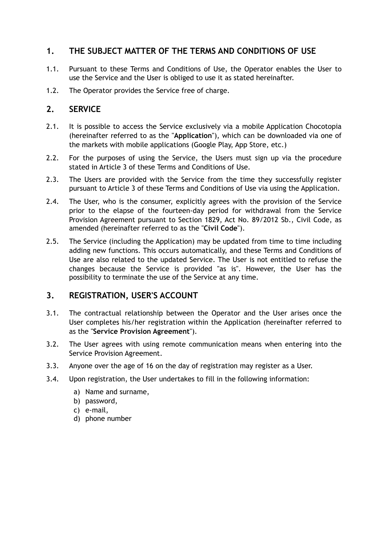## **1. THE SUBJECT MATTER OF THE TERMS AND CONDITIONS OF USE**

- 1.1. Pursuant to these Terms and Conditions of Use, the Operator enables the User to use the Service and the User is obliged to use it as stated hereinafter.
- 1.2. The Operator provides the Service free of charge.

### **2. SERVICE**

- 2.1. It is possible to access the Service exclusively via a mobile Application Chocotopia (hereinafter referred to as the "**Application**"), which can be downloaded via one of the markets with mobile applications (Google Play, App Store, etc.)
- 2.2. For the purposes of using the Service, the Users must sign up via the procedure stated in Article 3 of these Terms and Conditions of Use.
- 2.3. The Users are provided with the Service from the time they successfully register pursuant to Article 3 of these Terms and Conditions of Use via using the Application.
- 2.4. The User, who is the consumer, explicitly agrees with the provision of the Service prior to the elapse of the fourteen-day period for withdrawal from the Service Provision Agreement pursuant to Section 1829, Act No. 89/2012 Sb., Civil Code, as amended (hereinafter referred to as the "**Civil Code**").
- 2.5. The Service (including the Application) may be updated from time to time including adding new functions. This occurs automatically, and these Terms and Conditions of Use are also related to the updated Service. The User is not entitled to refuse the changes because the Service is provided "as is". However, the User has the possibility to terminate the use of the Service at any time.

#### **3. REGISTRATION, USER'S ACCOUNT**

- 3.1. The contractual relationship between the Operator and the User arises once the User completes his/her registration within the Application (hereinafter referred to as the "**Service Provision Agreement**").
- 3.2. The User agrees with using remote communication means when entering into the Service Provision Agreement.
- 3.3. Anyone over the age of 16 on the day of registration may register as a User.
- 3.4. Upon registration, the User undertakes to fill in the following information:
	- a) Name and surname,
	- b) password,
	- c) e-mail,
	- d) phone number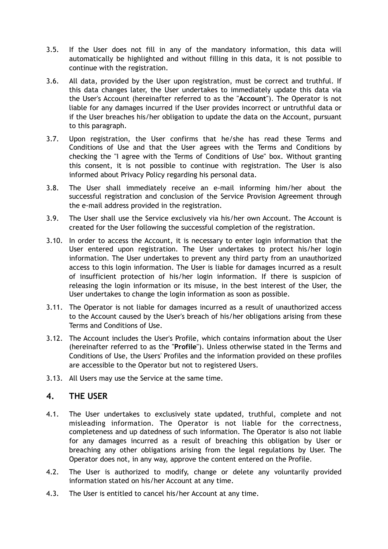- 3.5. If the User does not fill in any of the mandatory information, this data will automatically be highlighted and without filling in this data, it is not possible to continue with the registration.
- 3.6. All data, provided by the User upon registration, must be correct and truthful. If this data changes later, the User undertakes to immediately update this data via the User's Account (hereinafter referred to as the "**Account**"). The Operator is not liable for any damages incurred if the User provides incorrect or untruthful data or if the User breaches his/her obligation to update the data on the Account, pursuant to this paragraph.
- 3.7. Upon registration, the User confirms that he/she has read these Terms and Conditions of Use and that the User agrees with the Terms and Conditions by checking the "I agree with the Terms of Conditions of Use" box. Without granting this consent, it is not possible to continue with registration. The User is also informed about Privacy Policy regarding his personal data.
- 3.8. The User shall immediately receive an e-mail informing him/her about the successful registration and conclusion of the Service Provision Agreement through the e-mail address provided in the registration.
- 3.9. The User shall use the Service exclusively via his/her own Account. The Account is created for the User following the successful completion of the registration.
- 3.10. In order to access the Account, it is necessary to enter login information that the User entered upon registration. The User undertakes to protect his/her login information. The User undertakes to prevent any third party from an unauthorized access to this login information. The User is liable for damages incurred as a result of insufficient protection of his/her login information. If there is suspicion of releasing the login information or its misuse, in the best interest of the User, the User undertakes to change the login information as soon as possible.
- 3.11. The Operator is not liable for damages incurred as a result of unauthorized access to the Account caused by the User's breach of his/her obligations arising from these Terms and Conditions of Use.
- 3.12. The Account includes the User's Profile, which contains information about the User (hereinafter referred to as the "**Profile**"). Unless otherwise stated in the Terms and Conditions of Use, the Users' Profiles and the information provided on these profiles are accessible to the Operator but not to registered Users.
- 3.13. All Users may use the Service at the same time.

#### **4. THE USER**

- 4.1. The User undertakes to exclusively state updated, truthful, complete and not misleading information. The Operator is not liable for the correctness, completeness and up datedness of such information. The Operator is also not liable for any damages incurred as a result of breaching this obligation by User or breaching any other obligations arising from the legal regulations by User. The Operator does not, in any way, approve the content entered on the Profile.
- 4.2. The User is authorized to modify, change or delete any voluntarily provided information stated on his/her Account at any time.
- 4.3. The User is entitled to cancel his/her Account at any time.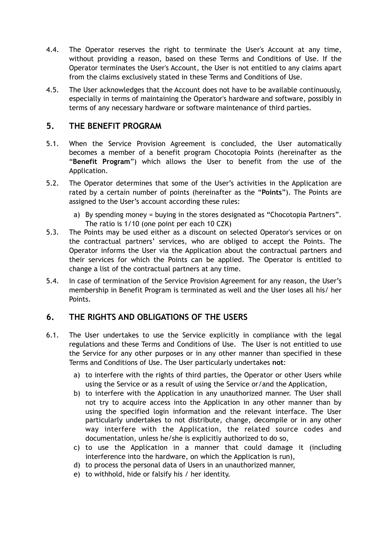- 4.4. The Operator reserves the right to terminate the User's Account at any time, without providing a reason, based on these Terms and Conditions of Use. If the Operator terminates the User's Account, the User is not entitled to any claims apart from the claims exclusively stated in these Terms and Conditions of Use.
- 4.5. The User acknowledges that the Account does not have to be available continuously, especially in terms of maintaining the Operator's hardware and software, possibly in terms of any necessary hardware or software maintenance of third parties.

#### **5. THE BENEFIT PROGRAM**

- 5.1. When the Service Provision Agreement is concluded, the User automatically becomes a member of a benefit program Chocotopia Points (hereinafter as the "**Benefit Program**") which allows the User to benefit from the use of the Application.
- 5.2. The Operator determines that some of the User's activities in the Application are rated by a certain number of points (hereinafter as the "**Points**"). The Points are assigned to the User's account according these rules:
	- a) By spending money = buying in the stores designated as "Chocotopia Partners". The ratio is 1/10 (one point per each 10 CZK)
- 5.3. The Points may be used either as a discount on selected Operator's services or on the contractual partners' services, who are obliged to accept the Points. The Operator informs the User via the Application about the contractual partners and their services for which the Points can be applied. The Operator is entitled to change a list of the contractual partners at any time.
- 5.4. In case of termination of the Service Provision Agreement for any reason, the User's membership in Benefit Program is terminated as well and the User loses all his/ her Points.

## **6. THE RIGHTS AND OBLIGATIONS OF THE USERS**

- 6.1. The User undertakes to use the Service explicitly in compliance with the legal regulations and these Terms and Conditions of Use. The User is not entitled to use the Service for any other purposes or in any other manner than specified in these Terms and Conditions of Use. The User particularly undertakes **not**:
	- a) to interfere with the rights of third parties, the Operator or other Users while using the Service or as a result of using the Service or/and the Application,
	- b) to interfere with the Application in any unauthorized manner. The User shall not try to acquire access into the Application in any other manner than by using the specified login information and the relevant interface. The User particularly undertakes to not distribute, change, decompile or in any other way interfere with the Application, the related source codes and documentation, unless he/she is explicitly authorized to do so,
	- c) to use the Application in a manner that could damage it (including interference into the hardware, on which the Application is run),
	- d) to process the personal data of Users in an unauthorized manner,
	- e) to withhold, hide or falsify his / her identity.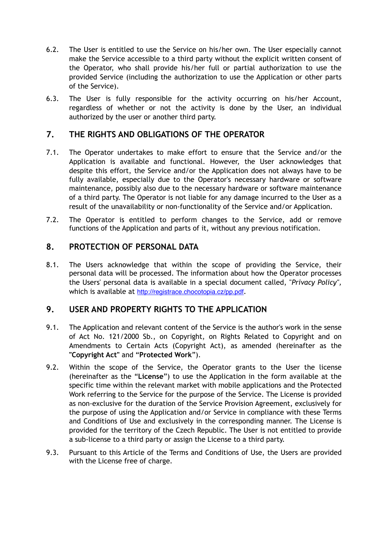- 6.2. The User is entitled to use the Service on his/her own. The User especially cannot make the Service accessible to a third party without the explicit written consent of the Operator, who shall provide his/her full or partial authorization to use the provided Service (including the authorization to use the Application or other parts of the Service).
- 6.3. The User is fully responsible for the activity occurring on his/her Account, regardless of whether or not the activity is done by the User, an individual authorized by the user or another third party.

### **7. THE RIGHTS AND OBLIGATIONS OF THE OPERATOR**

- 7.1. The Operator undertakes to make effort to ensure that the Service and/or the Application is available and functional. However, the User acknowledges that despite this effort, the Service and/or the Application does not always have to be fully available, especially due to the Operator's necessary hardware or software maintenance, possibly also due to the necessary hardware or software maintenance of a third party. The Operator is not liable for any damage incurred to the User as a result of the unavailability or non-functionality of the Service and/or Application.
- 7.2. The Operator is entitled to perform changes to the Service, add or remove functions of the Application and parts of it, without any previous notification.

#### **8. PROTECTION OF PERSONAL DATA**

8.1. The Users acknowledge that within the scope of providing the Service, their personal data will be processed. The information about how the Operator processes the Users' personal data is available in a special document called, "*Privacy Policy",*  which is available at <http://registrace.chocotopia.cz/pp.pdf>.

#### **9. USER AND PROPERTY RIGHTS TO THE APPLICATION**

- 9.1. The Application and relevant content of the Service is the author's work in the sense of Act No. 121/2000 Sb., on Copyright, on Rights Related to Copyright and on Amendments to Certain Acts (Copyright Act), as amended (hereinafter as the **"Copyright Act"** and "**Protected Work**").
- 9.2. Within the scope of the Service, the Operator grants to the User the license (hereinafter as the "**License**") to use the Application in the form available at the specific time within the relevant market with mobile applications and the Protected Work referring to the Service for the purpose of the Service. The License is provided as non-exclusive for the duration of the Service Provision Agreement, exclusively for the purpose of using the Application and/or Service in compliance with these Terms and Conditions of Use and exclusively in the corresponding manner. The License is provided for the territory of the Czech Republic. The User is not entitled to provide a sub-license to a third party or assign the License to a third party.
- 9.3. Pursuant to this Article of the Terms and Conditions of Use, the Users are provided with the License free of charge.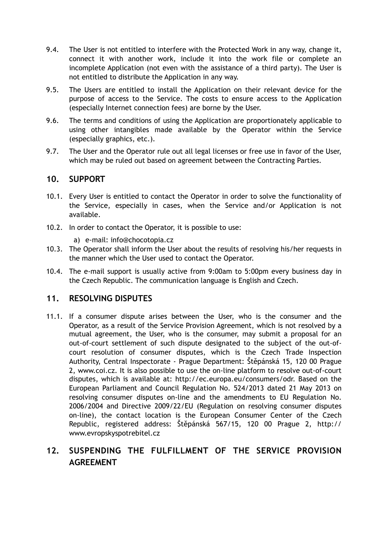- 9.4. The User is not entitled to interfere with the Protected Work in any way, change it, connect it with another work, include it into the work file or complete an incomplete Application (not even with the assistance of a third party). The User is not entitled to distribute the Application in any way.
- 9.5. The Users are entitled to install the Application on their relevant device for the purpose of access to the Service. The costs to ensure access to the Application (especially Internet connection fees) are borne by the User.
- 9.6. The terms and conditions of using the Application are proportionately applicable to using other intangibles made available by the Operator within the Service (especially graphics, etc.).
- 9.7. The User and the Operator rule out all legal licenses or free use in favor of the User, which may be ruled out based on agreement between the Contracting Parties.

#### **10. SUPPORT**

- 10.1. Every User is entitled to contact the Operator in order to solve the functionality of the Service, especially in cases, when the Service and/or Application is not available.
- 10.2. In order to contact the Operator, it is possible to use:
	- a) e-mail: info@chocotopia.cz
- 10.3. The Operator shall inform the User about the results of resolving his/her requests in the manner which the User used to contact the Operator.
- 10.4. The e-mail support is usually active from 9:00am to 5:00pm every business day in the Czech Republic. The communication language is English and Czech.

#### **11. RESOLVING DISPUTES**

11.1. If a consumer dispute arises between the User, who is the consumer and the Operator, as a result of the Service Provision Agreement, which is not resolved by a mutual agreement, the User, who is the consumer, may submit a proposal for an out-of-court settlement of such dispute designated to the subject of the out-ofcourt resolution of consumer disputes, which is the Czech Trade Inspection Authority, Central Inspectorate - Prague Department: Štěpánská 15, 120 00 Prague 2, www.coi.cz. It is also possible to use the on-line platform to resolve out-of-court disputes, which is available at: http://ec.europa.eu/consumers/odr. Based on the European Parliament and Council Regulation No. 524/2013 dated 21 May 2013 on resolving consumer disputes on-line and the amendments to EU Regulation No. 2006/2004 and Directive 2009/22/EU (Regulation on resolving consumer disputes on-line), the contact location is the European Consumer Center of the Czech Republic, registered address: Štěpánská 567/15, 120 00 Prague 2, http:// www.evropskyspotrebitel.cz

# **12. SUSPENDING THE FULFILLMENT OF THE SERVICE PROVISION AGREEMENT**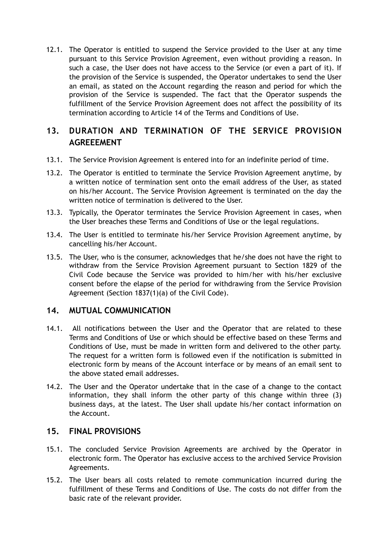12.1. The Operator is entitled to suspend the Service provided to the User at any time pursuant to this Service Provision Agreement, even without providing a reason. In such a case, the User does not have access to the Service (or even a part of it). If the provision of the Service is suspended, the Operator undertakes to send the User an email, as stated on the Account regarding the reason and period for which the provision of the Service is suspended. The fact that the Operator suspends the fulfillment of the Service Provision Agreement does not affect the possibility of its termination according to Article 14 of the Terms and Conditions of Use.

# **13. DURATION AND TERMINATION OF THE SERVICE PROVISION AGREEEMENT**

- 13.1. The Service Provision Agreement is entered into for an indefinite period of time.
- 13.2. The Operator is entitled to terminate the Service Provision Agreement anytime, by a written notice of termination sent onto the email address of the User, as stated on his/her Account. The Service Provision Agreement is terminated on the day the written notice of termination is delivered to the User.
- 13.3. Typically, the Operator terminates the Service Provision Agreement in cases, when the User breaches these Terms and Conditions of Use or the legal regulations.
- 13.4. The User is entitled to terminate his/her Service Provision Agreement anytime, by cancelling his/her Account.
- 13.5. The User, who is the consumer, acknowledges that he/she does not have the right to withdraw from the Service Provision Agreement pursuant to Section 1829 of the Civil Code because the Service was provided to him/her with his/her exclusive consent before the elapse of the period for withdrawing from the Service Provision Agreement (Section 1837(1)(a) of the Civil Code).

#### **14. MUTUAL COMMUNICATION**

- 14.1. All notifications between the User and the Operator that are related to these Terms and Conditions of Use or which should be effective based on these Terms and Conditions of Use, must be made in written form and delivered to the other party. The request for a written form is followed even if the notification is submitted in electronic form by means of the Account interface or by means of an email sent to the above stated email addresses.
- 14.2. The User and the Operator undertake that in the case of a change to the contact information, they shall inform the other party of this change within three (3) business days, at the latest. The User shall update his/her contact information on the Account.

#### **15. FINAL PROVISIONS**

- 15.1. The concluded Service Provision Agreements are archived by the Operator in electronic form. The Operator has exclusive access to the archived Service Provision Agreements.
- 15.2. The User bears all costs related to remote communication incurred during the fulfillment of these Terms and Conditions of Use. The costs do not differ from the basic rate of the relevant provider.